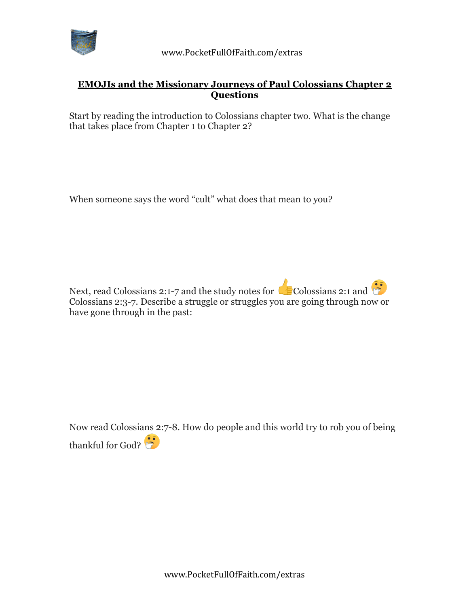

## **EMOJIs and the Missionary Journeys of Paul Colossians Chapter 2 Questions**

Start by reading the introduction to Colossians chapter two. What is the change that takes place from Chapter 1 to Chapter 2?

When someone says the word "cult" what does that mean to you?

Next, read Colossians 2:1-7 and the study notes for  $\bigcirc$  Colossians 2:1 and  $\bigcirc$ Colossians 2:3-7. Describe a struggle or struggles you are going through now or have gone through in the past:

Now read Colossians 2:7-8. How do people and this world try to rob you of being thankful for God?